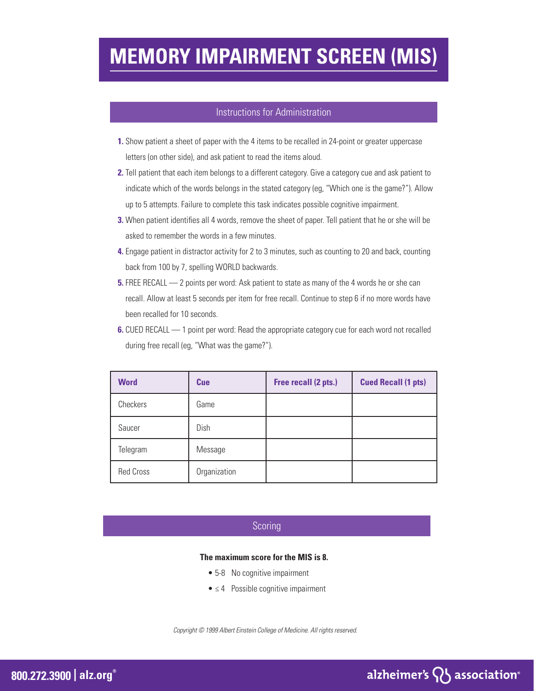## **MEMORY IMPAIRMENT SCREEN (MIS)**

#### Instructions for Administration

- **1.** Show patient a sheet of paper with the 4 items to be recalled in 24-point or greater uppercase letters (on other side), and ask patient to read the items aloud.
- **2.** Tell patient that each item belongs to a different category. Give a category cue and ask patient to indicate which of the words belongs in the stated category (eg, "Which one is the game?"). Allow up to 5 attempts. Failure to complete this task indicates possible cognitive impairment.
- **3.** When patient identifies all 4 words, remove the sheet of paper. Tell patient that he or she will be asked to remember the words in a few minutes.
- **4.** Engage patient in distractor activity for 2 to 3 minutes, such as counting to 20 and back, counting back from 100 by 7, spelling WORLD backwards.
- **5.** FREE RECALL 2 points per word: Ask patient to state as many of the 4 words he or she can recall. Allow at least 5 seconds per item for free recall. Continue to step 6 if no more words have been recalled for 10 seconds.
- **6.** CUED RECALL 1 point per word: Read the appropriate category cue for each word not recalled during free recall (eg, "What was the game?").

| <b>Word</b>      | <b>Cue</b>   | Free recall (2 pts.) | <b>Cued Recall (1 pts)</b> |
|------------------|--------------|----------------------|----------------------------|
| Checkers         | Game         |                      |                            |
| Saucer           | Dish         |                      |                            |
| Telegram         | Message      |                      |                            |
| <b>Red Cross</b> | Organization |                      |                            |

### Scoring

#### **The maximum score for the MIS is 8.**

- 5-8 No cognitive impairment
- $\bullet \leq 4$  Possible cognitive impairment

*Copyright © 1999 Albert Einstein College of Medicine. All rights reserved.*

## alzheimer's  $\{ \}$  association<sup>®</sup>